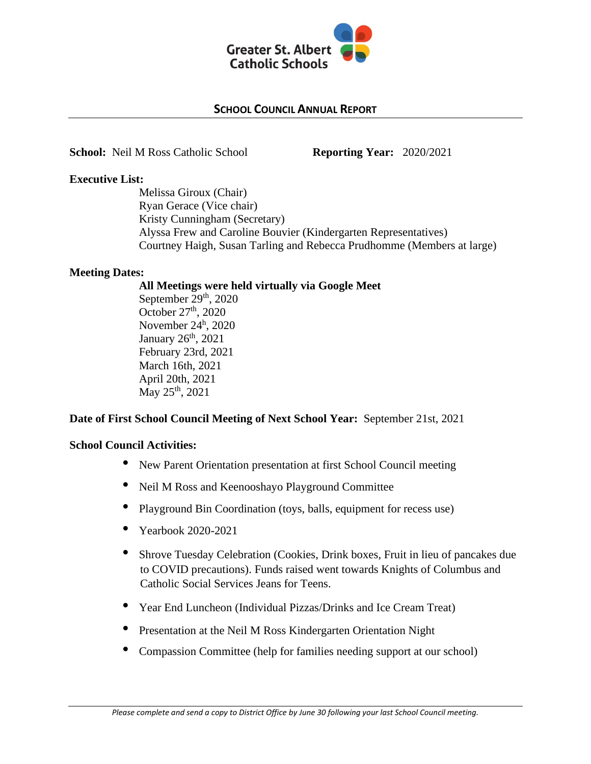

### **SCHOOL COUNCIL ANNUAL REPORT**

**School:** Neil M Ross Catholic School **Reporting Year:** 2020/2021

### **Executive List:**

Melissa Giroux (Chair) Ryan Gerace (Vice chair) Kristy Cunningham (Secretary) Alyssa Frew and Caroline Bouvier (Kindergarten Representatives) Courtney Haigh, Susan Tarling and Rebecca Prudhomme (Members at large)

# **Meeting Dates:**

#### **All Meetings were held virtually via Google Meet**

September 29<sup>th</sup>, 2020 October 27<sup>th</sup>, 2020 November 24<sup>h</sup>, 2020 January 26<sup>th</sup>, 2021 February 23rd, 2021 March 16th, 2021 April 20th, 2021 May 25<sup>th</sup>, 2021

# **Date of First School Council Meeting of Next School Year:** September 21st, 2021

# **School Council Activities:**

- New Parent Orientation presentation at first School Council meeting
- Neil M Ross and Keenooshayo Playground Committee
- Playground Bin Coordination (toys, balls, equipment for recess use)
- Yearbook 2020-2021
- Shrove Tuesday Celebration (Cookies, Drink boxes, Fruit in lieu of pancakes due to COVID precautions). Funds raised went towards Knights of Columbus and Catholic Social Services Jeans for Teens.
- Year End Luncheon (Individual Pizzas/Drinks and Ice Cream Treat)
- Presentation at the Neil M Ross Kindergarten Orientation Night
- Compassion Committee (help for families needing support at our school)